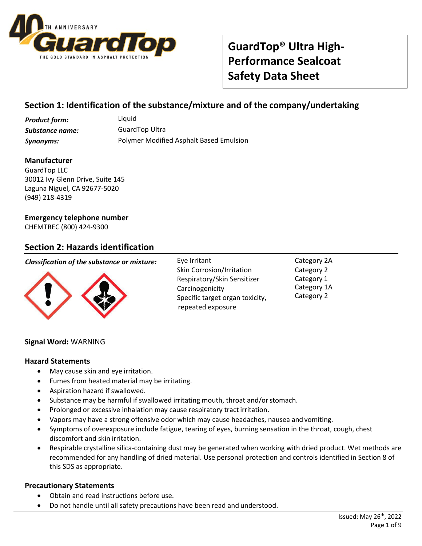

## **Section 1: Identification of the substance/mixture and of the company/undertaking**

**Product form:** Liquid *Substance name:* GuardTop Ultra

*Synonyms:* Polymer Modified Asphalt Based Emulsion

#### **Manufacturer**

GuardTop LLC 30012 Ivy Glenn Drive, Suite 145 Laguna Niguel, CA 92677-5020 (949) 218-4319

### **Emergency telephone number**

CHEMTREC (800) 424-9300

### **Section 2: Hazards identification**

#### *Classification of the substance or mixture:* Eye Irritant



Skin Corrosion/Irritation Respiratory/Skin Sensitizer Carcinogenicity Specific target organ toxicity, repeated exposure

Category 2A Category 2 Category 1 Category 1A Category 2

#### **Signal Word:** WARNING

#### **Hazard Statements**

- May cause skin and eye irritation.
- Fumes from heated material may be irritating.
- Aspiration hazard if swallowed.
- Substance may be harmful if swallowed irritating mouth, throat and/or stomach.
- Prolonged or excessive inhalation may cause respiratory tract irritation.
- Vapors may have a strong offensive odor which may cause headaches, nausea and vomiting.
- Symptoms of overexposure include fatigue, tearing of eyes, burning sensation in the throat, cough, chest discomfort and skin irritation.
- Respirable crystalline silica-containing dust may be generated when working with dried product. Wet methods are recommended for any handling of dried material. Use personal protection and controls identified in Section 8 of this SDS as appropriate.

#### **Precautionary Statements**

- Obtain and read instructions before use.
- Do not handle until all safety precautions have been read and understood.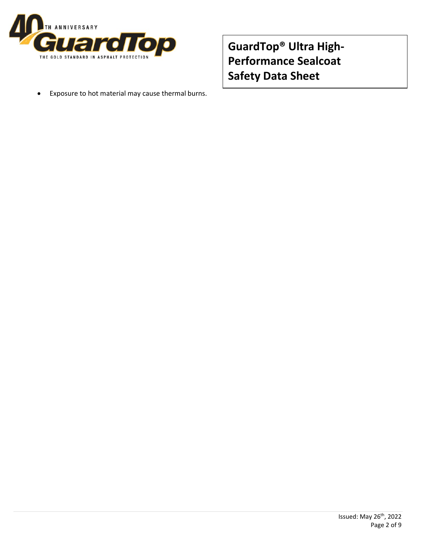

• Exposure to hot material may cause thermal burns.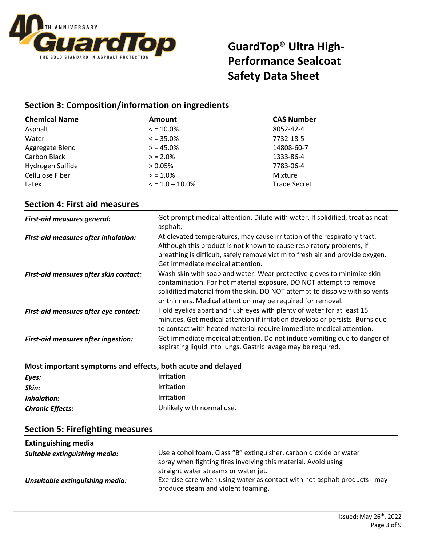

### **Section 3: Composition/information on ingredients**

| <b>Chemical Name</b> | Amount              | <b>CAS Number</b>   |
|----------------------|---------------------|---------------------|
| Asphalt              | $\le$ = 10.0%       | 8052-42-4           |
| Water                | $\le$ = 35.0%       | 7732-18-5           |
| Aggregate Blend      | $> 45.0\%$          | 14808-60-7          |
| Carbon Black         | $> 2.0\%$           | 1333-86-4           |
| Hydrogen Sulfide     | $> 0.05\%$          | 7783-06-4           |
| Cellulose Fiber      | $> 1.0\%$           | Mixture             |
| Latex                | $\le$ = 1.0 – 10.0% | <b>Trade Secret</b> |

### **Section 4: First aid measures**

| <b>First-aid measures general:</b>         | Get prompt medical attention. Dilute with water. If solidified, treat as neat<br>asphalt.                                                                                                                                                                                                  |
|--------------------------------------------|--------------------------------------------------------------------------------------------------------------------------------------------------------------------------------------------------------------------------------------------------------------------------------------------|
| First-aid measures after inhalation:       | At elevated temperatures, may cause irritation of the respiratory tract.<br>Although this product is not known to cause respiratory problems, if<br>breathing is difficult, safely remove victim to fresh air and provide oxygen.<br>Get immediate medical attention.                      |
| First-aid measures after skin contact:     | Wash skin with soap and water. Wear protective gloves to minimize skin<br>contamination. For hot material exposure, DO NOT attempt to remove<br>solidified material from the skin. DO NOT attempt to dissolve with solvents<br>or thinners. Medical attention may be required for removal. |
| First-aid measures after eye contact:      | Hold eyelids apart and flush eyes with plenty of water for at least 15<br>minutes. Get medical attention if irritation develops or persists. Burns due<br>to contact with heated material require immediate medical attention.                                                             |
| <b>First-aid measures after ingestion:</b> | Get immediate medical attention. Do not induce vomiting due to danger of<br>aspirating liquid into lungs. Gastric lavage may be required.                                                                                                                                                  |

#### **Most important symptoms and effects, both acute and delayed**

| Eyes:                   | <i>Irritation</i>         |
|-------------------------|---------------------------|
| Skin:                   | <i>Irritation</i>         |
| Inhalation:             | <i>Irritation</i>         |
| <b>Chronic Effects:</b> | Unlikely with normal use. |
|                         |                           |

### **Section 5: Firefighting measures**

| <b>Extinguishing media</b>      |                                                                                                                                                                             |
|---------------------------------|-----------------------------------------------------------------------------------------------------------------------------------------------------------------------------|
| Suitable extinguishing media:   | Use alcohol foam, Class "B" extinguisher, carbon dioxide or water<br>spray when fighting fires involving this material. Avoid using<br>straight water streams or water jet. |
| Unsuitable extinguishing media: | Exercise care when using water as contact with hot asphalt products - may<br>produce steam and violent foaming.                                                             |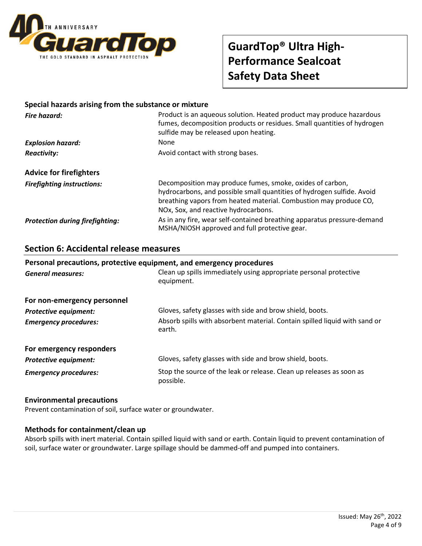

#### **Special hazards arising from the substance or mixture**

| Fire hazard:                           | Product is an aqueous solution. Heated product may produce hazardous<br>fumes, decomposition products or residues. Small quantities of hydrogen<br>sulfide may be released upon heating.                                                         |  |
|----------------------------------------|--------------------------------------------------------------------------------------------------------------------------------------------------------------------------------------------------------------------------------------------------|--|
| <b>Explosion hazard:</b>               | None                                                                                                                                                                                                                                             |  |
| <b>Reactivity:</b>                     | Avoid contact with strong bases.                                                                                                                                                                                                                 |  |
| <b>Advice for firefighters</b>         |                                                                                                                                                                                                                                                  |  |
| <b>Firefighting instructions:</b>      | Decomposition may produce fumes, smoke, oxides of carbon,<br>hydrocarbons, and possible small quantities of hydrogen sulfide. Avoid<br>breathing vapors from heated material. Combustion may produce CO,<br>NOx, Sox, and reactive hydrocarbons. |  |
| <b>Protection during firefighting:</b> | As in any fire, wear self-contained breathing apparatus pressure-demand<br>MSHA/NIOSH approved and full protective gear.                                                                                                                         |  |

#### **Section 6: Accidental release measures**

## Personal precautions, protective equipment, and emergency procedures *General measures:* Clean up spills immediately using appropriate personal protective equipment. **For non-emergency personnel Protective equipment:** Gloves, safety glasses with side and brow shield, boots. *Emergency procedures:* Absorb spills with absorbent material. Contain spilled liquid with sand or earth. **For emergency responders Protective equipment:** Gloves, safety glasses with side and brow shield, boots. **Emergency procedures:** Stop the source of the leak or release. Clean up releases as soon as possible.

#### **Environmental precautions**

Prevent contamination of soil, surface water or groundwater.

#### **Methods for containment/clean up**

Absorb spills with inert material. Contain spilled liquid with sand or earth. Contain liquid to prevent contamination of soil, surface water or groundwater. Large spillage should be dammed-off and pumped into containers.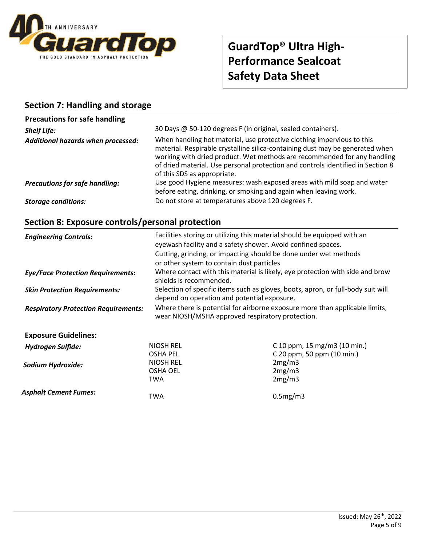

## **Section 7: Handling and storage**

| <b>Precautions for safe handling</b>  |                                                                                                                                                                                                                                                                                                                                                       |
|---------------------------------------|-------------------------------------------------------------------------------------------------------------------------------------------------------------------------------------------------------------------------------------------------------------------------------------------------------------------------------------------------------|
| <b>Shelf Life:</b>                    | 30 Days @ 50-120 degrees F (in original, sealed containers).                                                                                                                                                                                                                                                                                          |
| Additional hazards when processed:    | When handling hot material, use protective clothing impervious to this<br>material. Respirable crystalline silica-containing dust may be generated when<br>working with dried product. Wet methods are recommended for any handling<br>of dried material. Use personal protection and controls identified in Section 8<br>of this SDS as appropriate. |
| <b>Precautions for safe handling:</b> | Use good Hygiene measures: wash exposed areas with mild soap and water<br>before eating, drinking, or smoking and again when leaving work.                                                                                                                                                                                                            |
| <b>Storage conditions:</b>            | Do not store at temperatures above 120 degrees F.                                                                                                                                                                                                                                                                                                     |

# **Section 8: Exposure controls/personal protection**

| <b>Engineering Controls:</b>                | Facilities storing or utilizing this material should be equipped with an<br>eyewash facility and a safety shower. Avoid confined spaces.<br>Cutting, grinding, or impacting should be done under wet methods<br>or other system to contain dust particles<br>Where contact with this material is likely, eye protection with side and brow<br>shields is recommended.<br>Selection of specific items such as gloves, boots, apron, or full-body suit will<br>depend on operation and potential exposure. |                              |  |
|---------------------------------------------|----------------------------------------------------------------------------------------------------------------------------------------------------------------------------------------------------------------------------------------------------------------------------------------------------------------------------------------------------------------------------------------------------------------------------------------------------------------------------------------------------------|------------------------------|--|
| <b>Eye/Face Protection Requirements:</b>    |                                                                                                                                                                                                                                                                                                                                                                                                                                                                                                          |                              |  |
| <b>Skin Protection Requirements:</b>        |                                                                                                                                                                                                                                                                                                                                                                                                                                                                                                          |                              |  |
| <b>Respiratory Protection Requirements:</b> | Where there is potential for airborne exposure more than applicable limits,<br>wear NIOSH/MSHA approved respiratory protection.                                                                                                                                                                                                                                                                                                                                                                          |                              |  |
| <b>Exposure Guidelines:</b>                 |                                                                                                                                                                                                                                                                                                                                                                                                                                                                                                          |                              |  |
| <b>Hydrogen Sulfide:</b>                    | <b>NIOSH REL</b>                                                                                                                                                                                                                                                                                                                                                                                                                                                                                         | C 10 ppm, 15 mg/m3 (10 min.) |  |
|                                             | <b>OSHA PEL</b>                                                                                                                                                                                                                                                                                                                                                                                                                                                                                          | C 20 ppm, 50 ppm (10 min.)   |  |
| Sodium Hydroxide:                           | <b>NIOSH REL</b>                                                                                                                                                                                                                                                                                                                                                                                                                                                                                         | 2mg/m3                       |  |
|                                             | <b>OSHA OEL</b>                                                                                                                                                                                                                                                                                                                                                                                                                                                                                          | 2mg/m3                       |  |
|                                             | TWA                                                                                                                                                                                                                                                                                                                                                                                                                                                                                                      | 2mg/m3                       |  |
| <b>Asphalt Cement Fumes:</b>                | TWA                                                                                                                                                                                                                                                                                                                                                                                                                                                                                                      | 0.5mg/m3                     |  |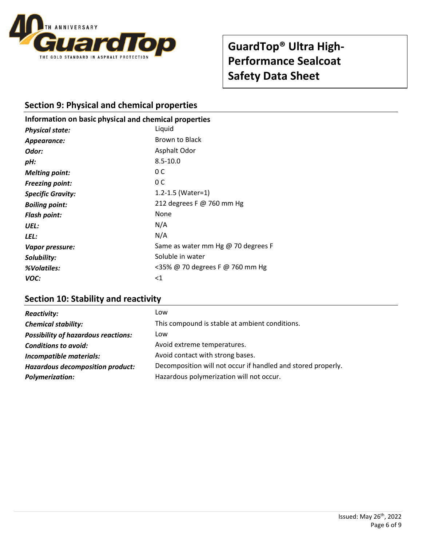

## **Section 9: Physical and chemical properties**

## **Information on basic physi cal and chemical properties** *Physical state:* Liquid **Appearance:** Brown to Black **Odor:** Asphalt Odor *pH:* 8.5-10.0 *Melting point:* 0 C *Freezing point:* 0 C **Specific Gravity:** 1.2-1.5 (Water=1) *Boiling point:* 212 degrees F @ 760 mm Hg *Flash point:* None *UEL:* N/A *LEL:* N/A *Vapor pressure:* Same as water mm Hg @ 70 degrees F **Solubility:** Soluble in water *%Volatiles:* <35% @ 70 degrees F @ 760 mm Hg *VOC:* <1

## **Section 10: Stability and reactivity**

| <b>Reactivity:</b>                         | Low                                                          |
|--------------------------------------------|--------------------------------------------------------------|
| <b>Chemical stability:</b>                 | This compound is stable at ambient conditions.               |
| <b>Possibility of hazardous reactions:</b> | Low                                                          |
| <b>Conditions to avoid:</b>                | Avoid extreme temperatures.                                  |
| Incompatible materials:                    | Avoid contact with strong bases.                             |
| <b>Hazardous decomposition product:</b>    | Decomposition will not occur if handled and stored properly. |
| <b>Polymerization:</b>                     | Hazardous polymerization will not occur.                     |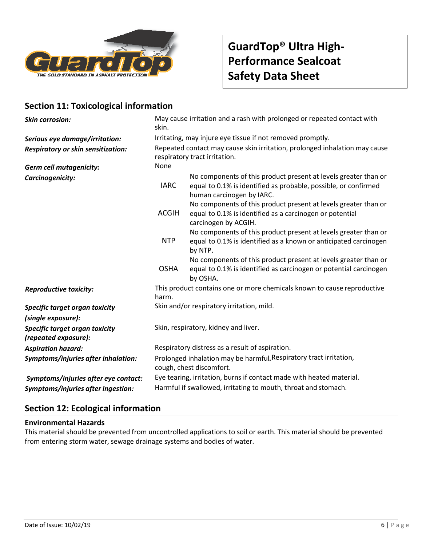

## **Section 11: Toxicological information**

| <b>Skin corrosion:</b>                                 | May cause irritation and a rash with prolonged or repeated contact with<br>skin.                            |                                                                                                                                                                 |  |
|--------------------------------------------------------|-------------------------------------------------------------------------------------------------------------|-----------------------------------------------------------------------------------------------------------------------------------------------------------------|--|
| Serious eye damage/irritation:                         | Irritating, may injure eye tissue if not removed promptly.                                                  |                                                                                                                                                                 |  |
| Respiratory or skin sensitization:                     | Repeated contact may cause skin irritation, prolonged inhalation may cause<br>respiratory tract irritation. |                                                                                                                                                                 |  |
| <b>Germ cell mutagenicity:</b>                         | None                                                                                                        |                                                                                                                                                                 |  |
| Carcinogenicity:                                       | <b>IARC</b>                                                                                                 | No components of this product present at levels greater than or<br>equal to 0.1% is identified as probable, possible, or confirmed<br>human carcinogen by IARC. |  |
|                                                        | <b>ACGIH</b>                                                                                                | No components of this product present at levels greater than or<br>equal to 0.1% is identified as a carcinogen or potential<br>carcinogen by ACGIH.             |  |
|                                                        | <b>NTP</b>                                                                                                  | No components of this product present at levels greater than or<br>equal to 0.1% is identified as a known or anticipated carcinogen<br>by NTP.                  |  |
|                                                        | <b>OSHA</b>                                                                                                 | No components of this product present at levels greater than or<br>equal to 0.1% is identified as carcinogen or potential carcinogen<br>by OSHA.                |  |
| <b>Reproductive toxicity:</b>                          | harm.                                                                                                       | This product contains one or more chemicals known to cause reproductive                                                                                         |  |
| Specific target organ toxicity                         | Skin and/or respiratory irritation, mild.                                                                   |                                                                                                                                                                 |  |
| (single exposure):                                     |                                                                                                             |                                                                                                                                                                 |  |
| Specific target organ toxicity<br>(repeated exposure): | Skin, respiratory, kidney and liver.                                                                        |                                                                                                                                                                 |  |
| <b>Aspiration hazard:</b>                              | Respiratory distress as a result of aspiration.                                                             |                                                                                                                                                                 |  |
| Symptoms/injuries after inhalation:                    | Prolonged inhalation may be harmful. Respiratory tract irritation,<br>cough, chest discomfort.              |                                                                                                                                                                 |  |
| Symptoms/injuries after eye contact:                   | Eye tearing, irritation, burns if contact made with heated material.                                        |                                                                                                                                                                 |  |
| Symptoms/injuries after ingestion:                     | Harmful if swallowed, irritating to mouth, throat and stomach.                                              |                                                                                                                                                                 |  |

## **Section 12: Ecological information**

#### **Environmental Hazards**

This material should be prevented from uncontrolled applications to soil or earth. This material should be prevented from entering storm water, sewage drainage systems and bodies of water.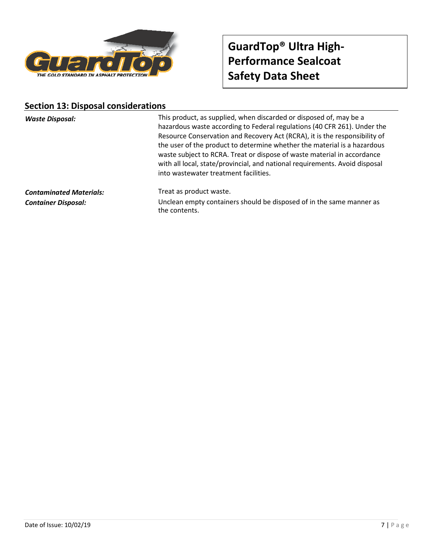

### **Section 13: Disposal considerations**

*Waste Disposal:* This product, as supplied, when discarded or disposed of, may be a hazardous waste according to Federal regulations (40 CFR 261). Under the Resource Conservation and Recovery Act (RCRA), it is the responsibility of the user of the product to determine whether the material is a hazardous waste subject to RCRA. Treat or dispose of waste material in accordance with all local, state/provincial, and national requirements. Avoid disposal into wastewater treatment facilities.

**Contaminated Materials:** Treat as product waste.

*Container Disposal:* Unclean empty containers should be disposed of in the same manner as the contents.